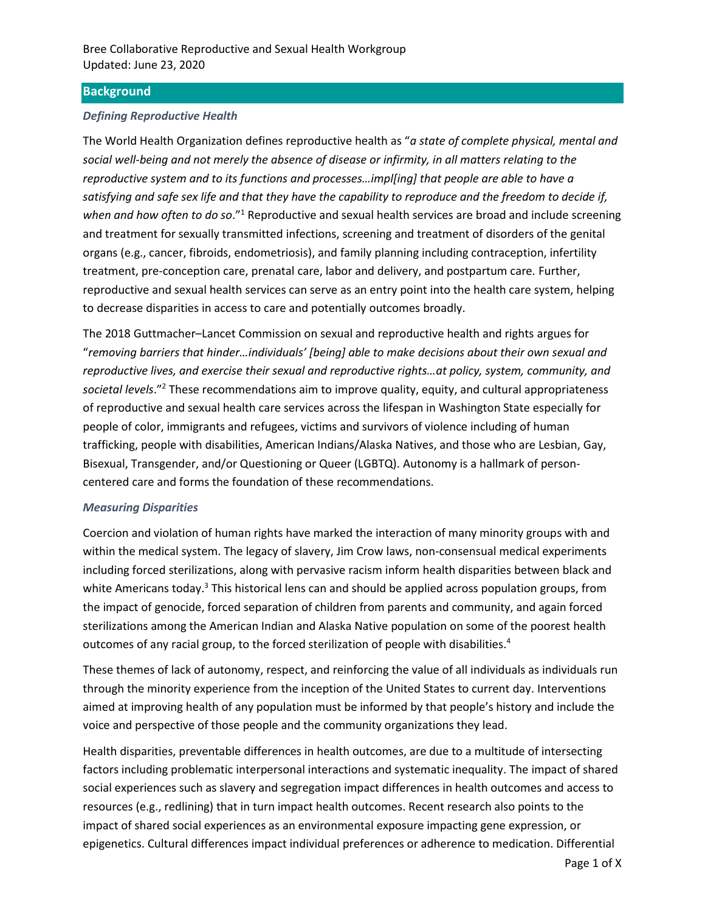### **Background**

### *Defining Reproductive Health*

The World Health Organization defines reproductive health as "*a state of complete physical, mental and social well-being and not merely the absence of disease or infirmity, in all matters relating to the reproductive system and to its functions and processes…impl[ing] that people are able to have a satisfying and safe sex life and that they have the capability to reproduce and the freedom to decide if, when and how often to do so*."<sup>1</sup> Reproductive and sexual health services are broad and include screening and treatment for sexually transmitted infections, screening and treatment of disorders of the genital organs (e.g., cancer, fibroids, endometriosis), and family planning including contraception, infertility treatment, pre-conception care, prenatal care, labor and delivery, and postpartum care. Further, reproductive and sexual health services can serve as an entry point into the health care system, helping to decrease disparities in access to care and potentially outcomes broadly.

The 2018 Guttmacher–Lancet Commission on sexual and reproductive health and rights argues for "*removing barriers that hinder…individuals' [being] able to make decisions about their own sexual and reproductive lives, and exercise their sexual and reproductive rights…at policy, system, community, and societal levels*."<sup>2</sup> These recommendations aim to improve quality, equity, and cultural appropriateness of reproductive and sexual health care services across the lifespan in Washington State especially for people of color, immigrants and refugees, victims and survivors of violence including of human trafficking, people with disabilities, American Indians/Alaska Natives, and those who are Lesbian, Gay, Bisexual, Transgender, and/or Questioning or Queer (LGBTQ). Autonomy is a hallmark of personcentered care and forms the foundation of these recommendations.

#### *Measuring Disparities*

Coercion and violation of human rights have marked the interaction of many minority groups with and within the medical system. The legacy of slavery, Jim Crow laws, non-consensual medical experiments including forced sterilizations, along with pervasive racism inform health disparities between black and white Americans today.<sup>3</sup> This historical lens can and should be applied across population groups, from the impact of genocide, forced separation of children from parents and community, and again forced sterilizations among the American Indian and Alaska Native population on some of the poorest health outcomes of any racial group, to the forced sterilization of people with disabilities.<sup>4</sup>

These themes of lack of autonomy, respect, and reinforcing the value of all individuals as individuals run through the minority experience from the inception of the United States to current day. Interventions aimed at improving health of any population must be informed by that people's history and include the voice and perspective of those people and the community organizations they lead.

Health disparities, preventable differences in health outcomes, are due to a multitude of intersecting factors including problematic interpersonal interactions and systematic inequality. The impact of shared social experiences such as slavery and segregation impact differences in health outcomes and access to resources (e.g., redlining) that in turn impact health outcomes. Recent research also points to the impact of shared social experiences as an environmental exposure impacting gene expression, or epigenetics. Cultural differences impact individual preferences or adherence to medication. Differential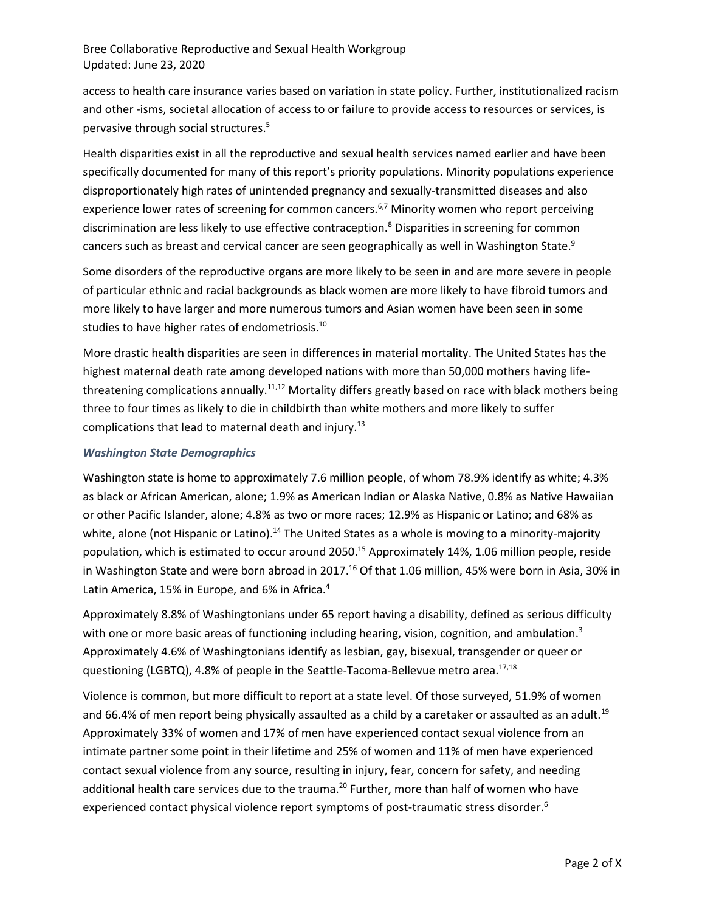access to health care insurance varies based on variation in state policy. Further, institutionalized racism and other -isms, societal allocation of access to or failure to provide access to resources or services, is pervasive through social structures. 5

Health disparities exist in all the reproductive and sexual health services named earlier and have been specifically documented for many of this report's priority populations. Minority populations experience disproportionately high rates of unintended pregnancy and sexually-transmitted diseases and also experience lower rates of screening for common cancers.<sup>6,7</sup> Minority women who report perceiving discrimination are less likely to use effective contraception.<sup>8</sup> Disparities in screening for common cancers such as breast and cervical cancer are seen geographically as well in Washington State.<sup>9</sup>

Some disorders of the reproductive organs are more likely to be seen in and are more severe in people of particular ethnic and racial backgrounds as black women are more likely to have fibroid tumors and more likely to have larger and more numerous tumors and Asian women have been seen in some studies to have higher rates of endometriosis.<sup>10</sup>

More drastic health disparities are seen in differences in material mortality. The United States has the highest maternal death rate among developed nations with more than 50,000 mothers having lifethreatening complications annually.<sup>11,12</sup> Mortality differs greatly based on race with black mothers being three to four times as likely to die in childbirth than white mothers and more likely to suffer complications that lead to maternal death and injury.<sup>13</sup>

### *Washington State Demographics*

Washington state is home to approximately 7.6 million people, of whom 78.9% identify as white; 4.3% as black or African American, alone; 1.9% as American Indian or Alaska Native, 0.8% as Native Hawaiian or other Pacific Islander, alone; 4.8% as two or more races; 12.9% as Hispanic or Latino; and 68% as white, alone (not Hispanic or Latino).<sup>14</sup> The United States as a whole is moving to a minority-majority population, which is estimated to occur around 2050.<sup>15</sup> Approximately 14%, 1.06 million people, reside in Washington State and were born abroad in 2017.<sup>16</sup> Of that 1.06 million, 45% were born in Asia, 30% in Latin America, 15% in Europe, and 6% in Africa.<sup>4</sup>

Approximately 8.8% of Washingtonians under 65 report having a disability, defined as serious difficulty with one or more basic areas of functioning including hearing, vision, cognition, and ambulation.<sup>3</sup> Approximately 4.6% of Washingtonians identify as lesbian, gay, bisexual, transgender or queer or questioning (LGBTQ), 4.8% of people in the Seattle-Tacoma-Bellevue metro area.<sup>17,18</sup>

Violence is common, but more difficult to report at a state level. Of those surveyed, 51.9% of women and 66.4% of men report being physically assaulted as a child by a caretaker or assaulted as an adult.<sup>19</sup> Approximately 33% of women and 17% of men have experienced contact sexual violence from an intimate partner some point in their lifetime and 25% of women and 11% of men have experienced contact sexual violence from any source, resulting in injury, fear, concern for safety, and needing additional health care services due to the trauma.<sup>20</sup> Further, more than half of women who have experienced contact physical violence report symptoms of post-traumatic stress disorder.<sup>6</sup>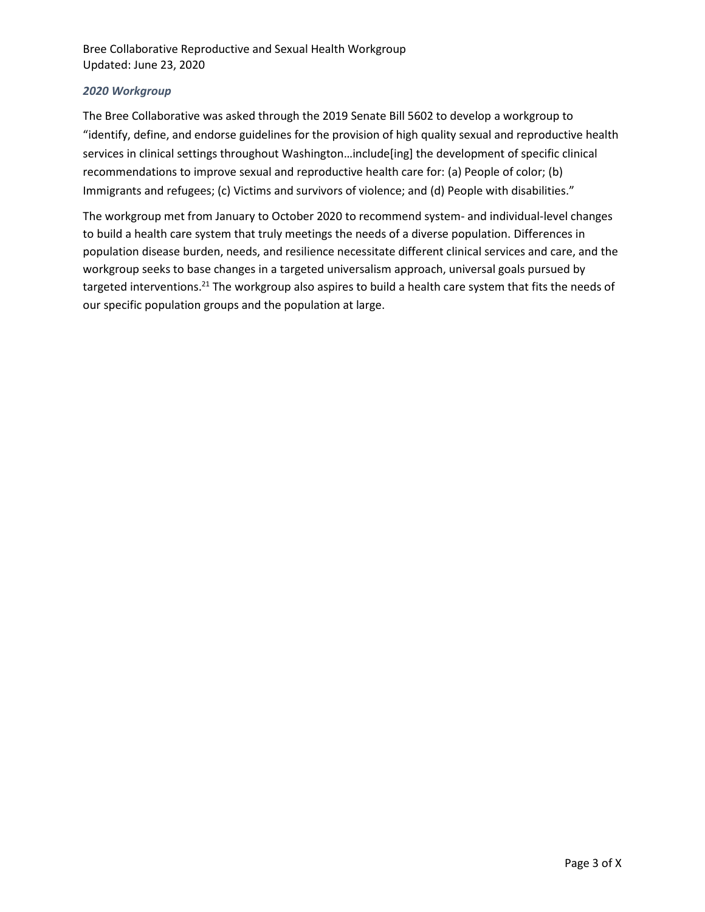### *2020 Workgroup*

The Bree Collaborative was asked through the 2019 Senate Bill 5602 to develop a workgroup to "identify, define, and endorse guidelines for the provision of high quality sexual and reproductive health services in clinical settings throughout Washington…include[ing] the development of specific clinical recommendations to improve sexual and reproductive health care for: (a) People of color; (b) Immigrants and refugees; (c) Victims and survivors of violence; and (d) People with disabilities."

The workgroup met from January to October 2020 to recommend system- and individual-level changes to build a health care system that truly meetings the needs of a diverse population. Differences in population disease burden, needs, and resilience necessitate different clinical services and care, and the workgroup seeks to base changes in a targeted universalism approach, universal goals pursued by targeted interventions.<sup>21</sup> The workgroup also aspires to build a health care system that fits the needs of our specific population groups and the population at large.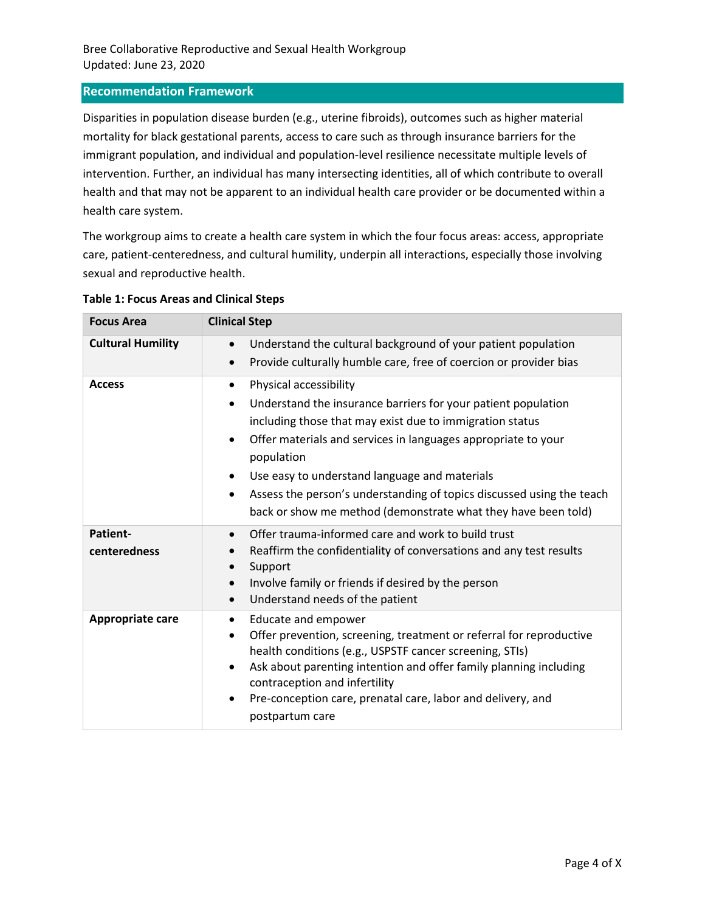### **Recommendation Framework**

Disparities in population disease burden (e.g., uterine fibroids), outcomes such as higher material mortality for black gestational parents, access to care such as through insurance barriers for the immigrant population, and individual and population-level resilience necessitate multiple levels of intervention. Further, an individual has many intersecting identities, all of which contribute to overall health and that may not be apparent to an individual health care provider or be documented within a health care system.

The workgroup aims to create a health care system in which the four focus areas: access, appropriate care, patient-centeredness, and cultural humility, underpin all interactions, especially those involving sexual and reproductive health.

| <b>Focus Area</b>        | <b>Clinical Step</b>                                                                                                                                                                                                                                                                                                                                                                                                                       |  |
|--------------------------|--------------------------------------------------------------------------------------------------------------------------------------------------------------------------------------------------------------------------------------------------------------------------------------------------------------------------------------------------------------------------------------------------------------------------------------------|--|
| <b>Cultural Humility</b> | Understand the cultural background of your patient population<br>$\bullet$<br>Provide culturally humble care, free of coercion or provider bias                                                                                                                                                                                                                                                                                            |  |
| <b>Access</b>            | Physical accessibility<br>$\bullet$<br>Understand the insurance barriers for your patient population<br>including those that may exist due to immigration status<br>Offer materials and services in languages appropriate to your<br>population<br>Use easy to understand language and materials<br>Assess the person's understanding of topics discussed using the teach<br>back or show me method (demonstrate what they have been told) |  |
| Patient-<br>centeredness | Offer trauma-informed care and work to build trust<br>Reaffirm the confidentiality of conversations and any test results<br>Support<br>Involve family or friends if desired by the person<br>Understand needs of the patient                                                                                                                                                                                                               |  |
| Appropriate care         | Educate and empower<br>$\bullet$<br>Offer prevention, screening, treatment or referral for reproductive<br>health conditions (e.g., USPSTF cancer screening, STIs)<br>Ask about parenting intention and offer family planning including<br>$\bullet$<br>contraception and infertility<br>Pre-conception care, prenatal care, labor and delivery, and<br>postpartum care                                                                    |  |

### **Table 1: Focus Areas and Clinical Steps**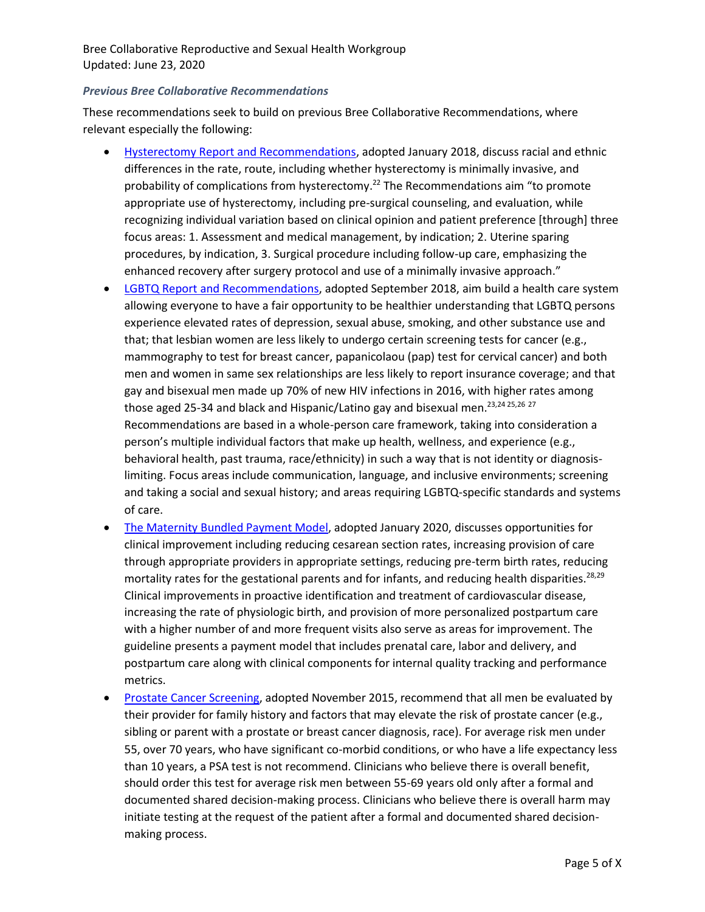### *Previous Bree Collaborative Recommendations*

These recommendations seek to build on previous Bree Collaborative Recommendations, where relevant especially the following:

- [Hysterectomy Report and Recommendations,](http://www.breecollaborative.org/wp-content/uploads/Hysterectomy-Final-Report-2018.pdf) adopted January 2018, discuss racial and ethnic differences in the rate, route, including whether hysterectomy is minimally invasive, and probability of complications from hysterectomy.<sup>22</sup> The Recommendations aim "to promote appropriate use of hysterectomy, including pre-surgical counseling, and evaluation, while recognizing individual variation based on clinical opinion and patient preference [through] three focus areas: 1. Assessment and medical management, by indication; 2. Uterine sparing procedures, by indication, 3. Surgical procedure including follow-up care, emphasizing the enhanced recovery after surgery protocol and use of a minimally invasive approach."
- [LGBTQ Report and Recommendations,](http://www.breecollaborative.org/wp-content/uploads/LGBTQ-health-care-recommendations-Final-20-02.pdf) adopted September 2018, aim build a health care system allowing everyone to have a fair opportunity to be healthier understanding that LGBTQ persons experience elevated rates of depression, sexual abuse, smoking, and other substance use and that; that lesbian women are less likely to undergo certain screening tests for cancer (e.g., mammography to test for breast cancer, papanicolaou (pap) test for cervical cancer) and both men and women in same sex relationships are less likely to report insurance coverage; and that gay and bisexual men made up 70% of new HIV infections in 2016, with higher rates among those aged 25-34 and black and Hispanic/Latino gay and bisexual men.<sup>23,24 25,26</sup><sup>27</sup> Recommendations are based in a whole-person care framework, taking into consideration a person's multiple individual factors that make up health, wellness, and experience (e.g., behavioral health, past trauma, race/ethnicity) in such a way that is not identity or diagnosislimiting. Focus areas include communication, language, and inclusive environments; screening and taking a social and sexual history; and areas requiring LGBTQ-specific standards and systems of care.
- [The Maternity Bundled Payment Model,](http://www.breecollaborative.org/wp-content/uploads/Maternity-Bundle-FINAL-2020.pdf) adopted January 2020, discusses opportunities for clinical improvement including reducing cesarean section rates, increasing provision of care through appropriate providers in appropriate settings, reducing pre-term birth rates, reducing mortality rates for the gestational parents and for infants, and reducing health disparities.<sup>28,29</sup> Clinical improvements in proactive identification and treatment of cardiovascular disease, increasing the rate of physiologic birth, and provision of more personalized postpartum care with a higher number of and more frequent visits also serve as areas for improvement. The guideline presents a payment model that includes prenatal care, labor and delivery, and postpartum care along with clinical components for internal quality tracking and performance metrics.
- [Prostate Cancer Screening,](http://www.breecollaborative.org/wp-content/uploads/Prostate-Cancer-Recommendations-Final-15-11.pdf) adopted November 2015, recommend that all men be evaluated by their provider for family history and factors that may elevate the risk of prostate cancer (e.g., sibling or parent with a prostate or breast cancer diagnosis, race). For average risk men under 55, over 70 years, who have significant co-morbid conditions, or who have a life expectancy less than 10 years, a PSA test is not recommend. Clinicians who believe there is overall benefit, should order this test for average risk men between 55-69 years old only after a formal and documented shared decision-making process. Clinicians who believe there is overall harm may initiate testing at the request of the patient after a formal and documented shared decisionmaking process.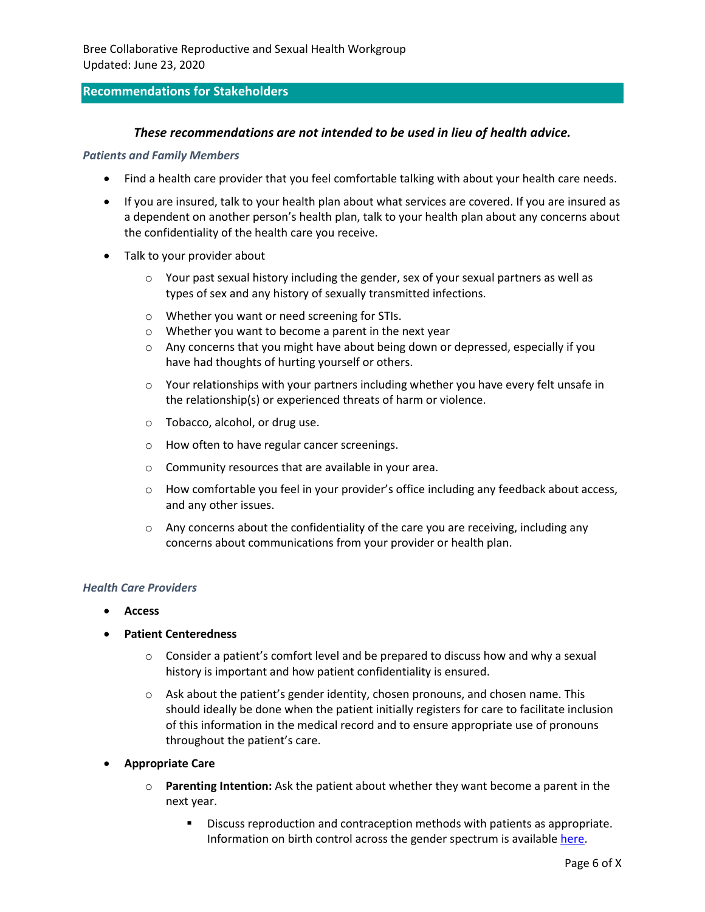### **Recommendations for Stakeholders**

#### *These recommendations are not intended to be used in lieu of health advice.*

#### *Patients and Family Members*

- Find a health care provider that you feel comfortable talking with about your health care needs.
- If you are insured, talk to your health plan about what services are covered. If you are insured as a dependent on another person's health plan, talk to your health plan about any concerns about the confidentiality of the health care you receive.
- Talk to your provider about
	- $\circ$  Your past sexual history including the gender, sex of your sexual partners as well as types of sex and any history of sexually transmitted infections.
	- o Whether you want or need screening for STIs.
	- o Whether you want to become a parent in the next year
	- $\circ$  Any concerns that you might have about being down or depressed, especially if you have had thoughts of hurting yourself or others.
	- $\circ$  Your relationships with your partners including whether you have every felt unsafe in the relationship(s) or experienced threats of harm or violence.
	- o Tobacco, alcohol, or drug use.
	- o How often to have regular cancer screenings.
	- o Community resources that are available in your area.
	- o How comfortable you feel in your provider's office including any feedback about access, and any other issues.
	- $\circ$  Any concerns about the confidentiality of the care you are receiving, including any concerns about communications from your provider or health plan.

#### *Health Care Providers*

- **Access**
- **Patient Centeredness** 
	- $\circ$  Consider a patient's comfort level and be prepared to discuss how and why a sexual history is important and how patient confidentiality is ensured.
	- $\circ$  Ask about the patient's gender identity, chosen pronouns, and chosen name. This should ideally be done when the patient initially registers for care to facilitate inclusion of this information in the medical record and to ensure appropriate use of pronouns throughout the patient's care.
- **Appropriate Care**
	- o **Parenting Intention:** Ask the patient about whether they want become a parent in the next year.
		- Discuss reproduction and contraception methods with patients as appropriate. Information on birth control across the gender spectrum is available [here.](https://www.reproductiveaccess.org/resource/birth-control-across-the-gender-spectrum/)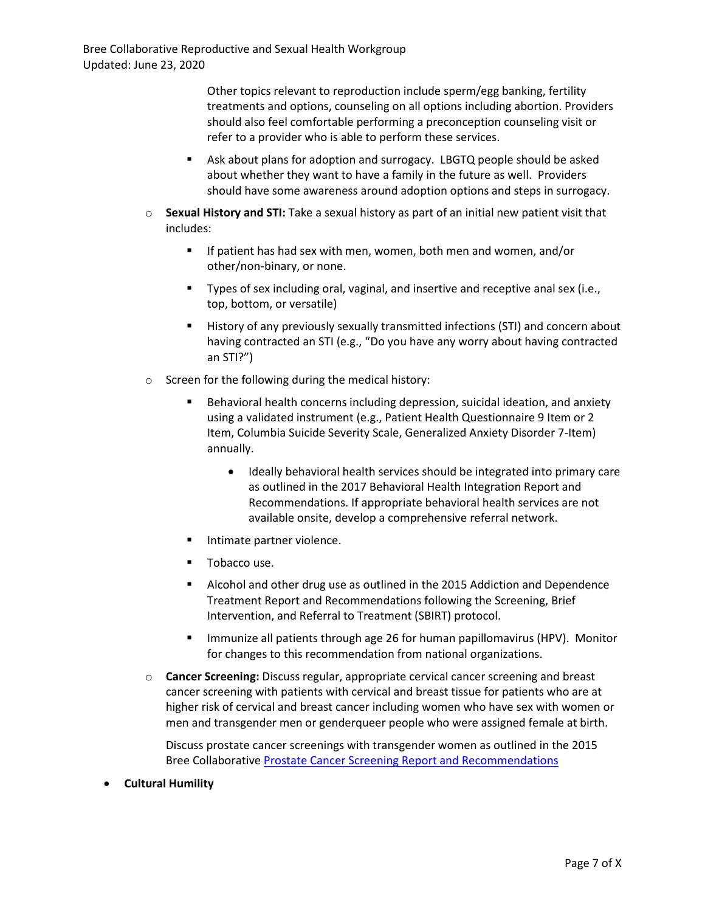> Other topics relevant to reproduction include sperm/egg banking, fertility treatments and options, counseling on all options including abortion. Providers should also feel comfortable performing a preconception counseling visit or refer to a provider who is able to perform these services.

- Ask about plans for adoption and surrogacy. LBGTQ people should be asked about whether they want to have a family in the future as well. Providers should have some awareness around adoption options and steps in surrogacy.
- o **Sexual History and STI:** Take a sexual history as part of an initial new patient visit that includes:
	- If patient has had sex with men, women, both men and women, and/or other/non-binary, or none.
	- Types of sex including oral, vaginal, and insertive and receptive anal sex (i.e., top, bottom, or versatile)
	- History of any previously sexually transmitted infections (STI) and concern about having contracted an STI (e.g., "Do you have any worry about having contracted an STI?")
- o Screen for the following during the medical history:
	- Behavioral health concerns including depression, suicidal ideation, and anxiety using a validated instrument (e.g., Patient Health Questionnaire 9 Item or 2 Item, Columbia Suicide Severity Scale, Generalized Anxiety Disorder 7-Item) annually.
		- Ideally behavioral health services should be integrated into primary care as outlined in the 2017 Behavioral Health Integration Report and Recommendations. If appropriate behavioral health services are not available onsite, develop a comprehensive referral network.
	- Intimate partner violence.
	- Tobacco use.
	- Alcohol and other drug use as outlined in the 2015 Addiction and Dependence Treatment Report and Recommendations following the Screening, Brief Intervention, and Referral to Treatment (SBIRT) protocol.
	- **■** Immunize all patients through age 26 for human papillomavirus (HPV). Monitor for changes to this recommendation from national organizations.
- o **Cancer Screening:** Discuss regular, appropriate cervical cancer screening and breast cancer screening with patients with cervical and breast tissue for patients who are at higher risk of cervical and breast cancer including women who have sex with women or men and transgender men or genderqueer people who were assigned female at birth.

Discuss prostate cancer screenings with transgender women as outlined in the 2015 Bree Collaborative [Prostate Cancer Screening Report and Recommendations](http://www.breecollaborative.org/wp-content/uploads/Prostate-Cancer-Recommendations-Final-15-11.pdf)

• **Cultural Humility**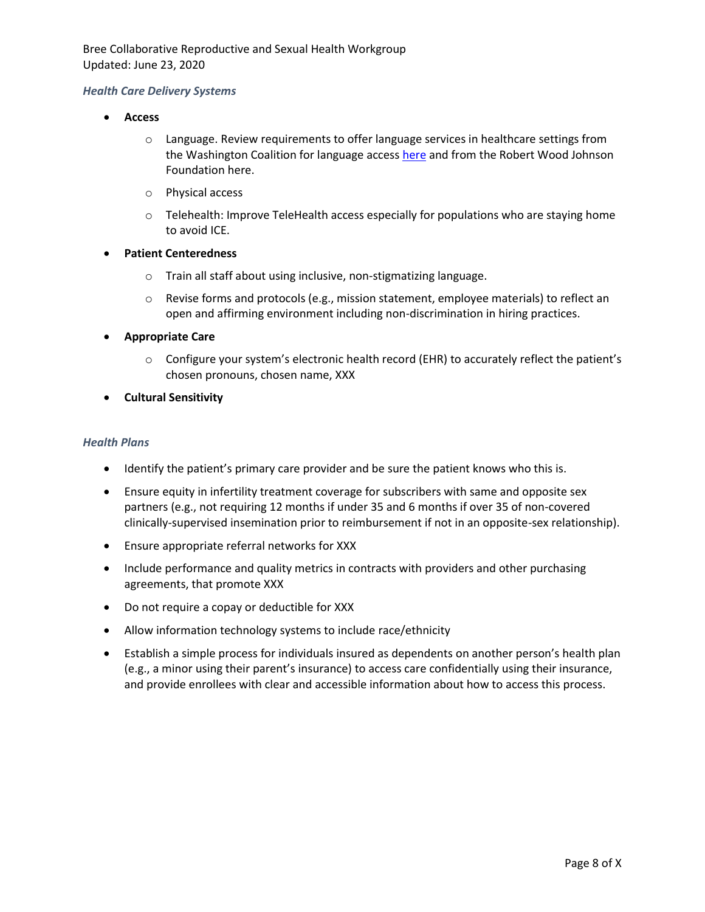### *Health Care Delivery Systems*

- **Access**
	- o Language. Review requirements to offer language services in healthcare settings from the Washington Coalition for language acces[s here](https://www.wascla.org/library/attachment.351986) and from the Robert Wood Johnson Foundation here.
	- o Physical access
	- $\circ$  Telehealth: Improve TeleHealth access especially for populations who are staying home to avoid ICE.
- **Patient Centeredness**
	- o Train all staff about using inclusive, non-stigmatizing language.
	- $\circ$  Revise forms and protocols (e.g., mission statement, employee materials) to reflect an open and affirming environment including non-discrimination in hiring practices.
- **Appropriate Care**
	- o Configure your system's electronic health record (EHR) to accurately reflect the patient's chosen pronouns, chosen name, XXX
- **Cultural Sensitivity**

#### *Health Plans*

- Identify the patient's primary care provider and be sure the patient knows who this is.
- Ensure equity in infertility treatment coverage for subscribers with same and opposite sex partners (e.g., not requiring 12 months if under 35 and 6 months if over 35 of non-covered clinically-supervised insemination prior to reimbursement if not in an opposite-sex relationship).
- Ensure appropriate referral networks for XXX
- Include performance and quality metrics in contracts with providers and other purchasing agreements, that promote XXX
- Do not require a copay or deductible for XXX
- Allow information technology systems to include race/ethnicity
- Establish a simple process for individuals insured as dependents on another person's health plan (e.g., a minor using their parent's insurance) to access care confidentially using their insurance, and provide enrollees with clear and accessible information about how to access this process.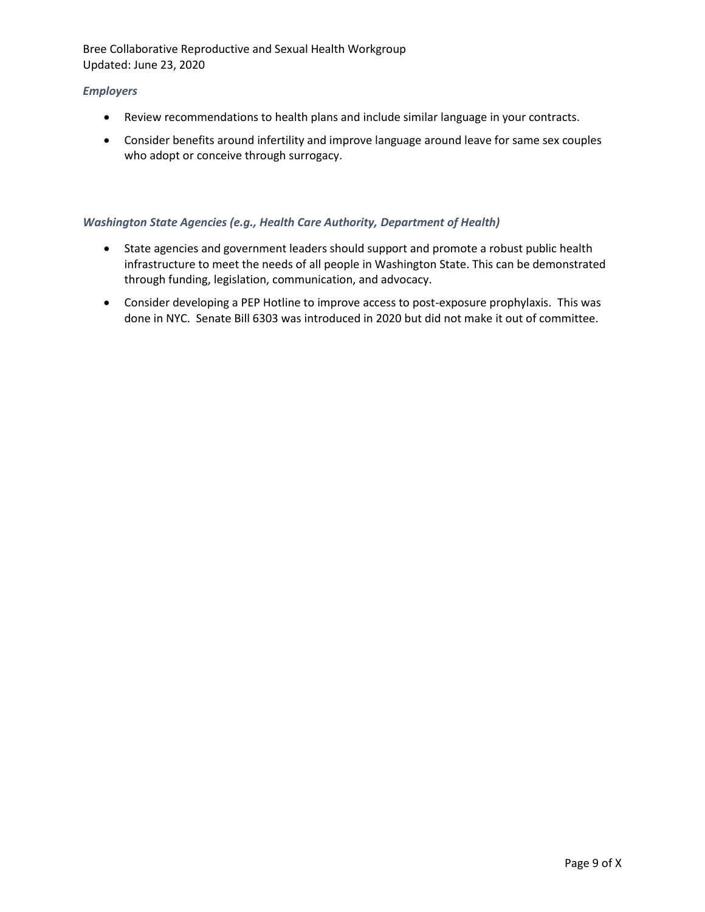### *Employers*

- Review recommendations to health plans and include similar language in your contracts.
- Consider benefits around infertility and improve language around leave for same sex couples who adopt or conceive through surrogacy.

### *Washington State Agencies (e.g., Health Care Authority, Department of Health)*

- State agencies and government leaders should support and promote a robust public health infrastructure to meet the needs of all people in Washington State. This can be demonstrated through funding, legislation, communication, and advocacy.
- Consider developing a PEP Hotline to improve access to post-exposure prophylaxis. This was done in NYC. Senate Bill 6303 was introduced in 2020 but did not make it out of committee.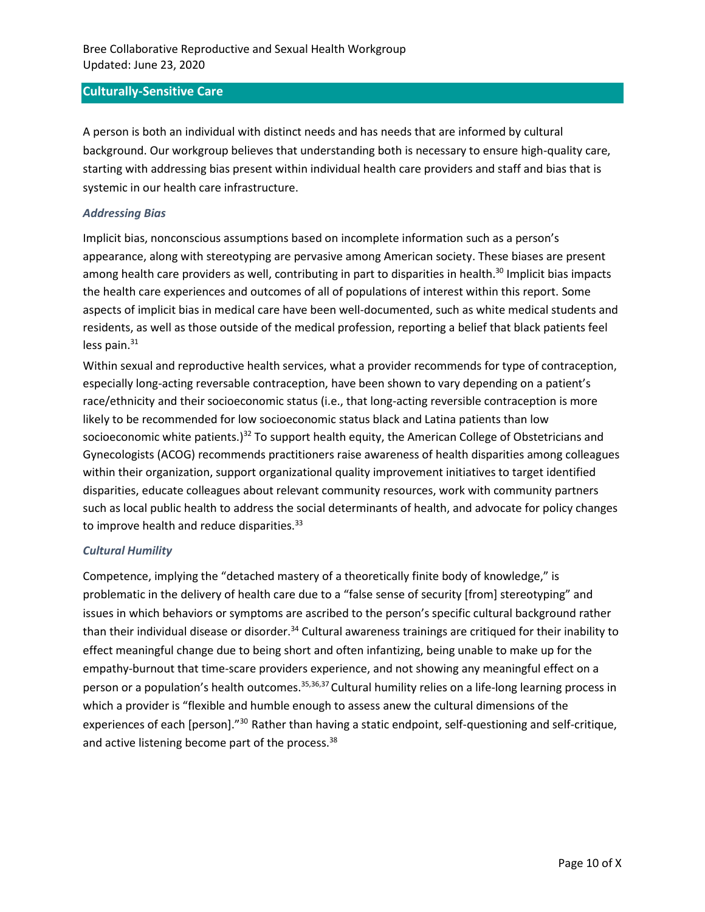### **Culturally-Sensitive Care**

A person is both an individual with distinct needs and has needs that are informed by cultural background. Our workgroup believes that understanding both is necessary to ensure high-quality care, starting with addressing bias present within individual health care providers and staff and bias that is systemic in our health care infrastructure.

#### *Addressing Bias*

Implicit bias, nonconscious assumptions based on incomplete information such as a person's appearance, along with stereotyping are pervasive among American society. These biases are present among health care providers as well, contributing in part to disparities in health.<sup>30</sup> Implicit bias impacts the health care experiences and outcomes of all of populations of interest within this report. Some aspects of implicit bias in medical care have been well-documented, such as white medical students and residents, as well as those outside of the medical profession, reporting a belief that black patients feel less pain. $31$ 

Within sexual and reproductive health services, what a provider recommends for type of contraception, especially long-acting reversable contraception, have been shown to vary depending on a patient's race/ethnicity and their socioeconomic status (i.e., that long-acting reversible contraception is more likely to be recommended for low socioeconomic status black and Latina patients than low socioeconomic white patients.)<sup>32</sup> To support health equity, the American College of Obstetricians and Gynecologists (ACOG) recommends practitioners raise awareness of health disparities among colleagues within their organization, support organizational quality improvement initiatives to target identified disparities, educate colleagues about relevant community resources, work with community partners such as local public health to address the social determinants of health, and advocate for policy changes to improve health and reduce disparities.<sup>33</sup>

### *Cultural Humility*

Competence, implying the "detached mastery of a theoretically finite body of knowledge," is problematic in the delivery of health care due to a "false sense of security [from] stereotyping" and issues in which behaviors or symptoms are ascribed to the person's specific cultural background rather than their individual disease or disorder.<sup>34</sup> Cultural awareness trainings are critiqued for their inability to effect meaningful change due to being short and often infantizing, being unable to make up for the empathy-burnout that time-scare providers experience, and not showing any meaningful effect on a person or a population's health outcomes.<sup>35,36,37</sup> Cultural humility relies on a life-long learning process in which a provider is "flexible and humble enough to assess anew the cultural dimensions of the experiences of each [person]."<sup>30</sup> Rather than having a static endpoint, self-questioning and self-critique, and active listening become part of the process.<sup>38</sup>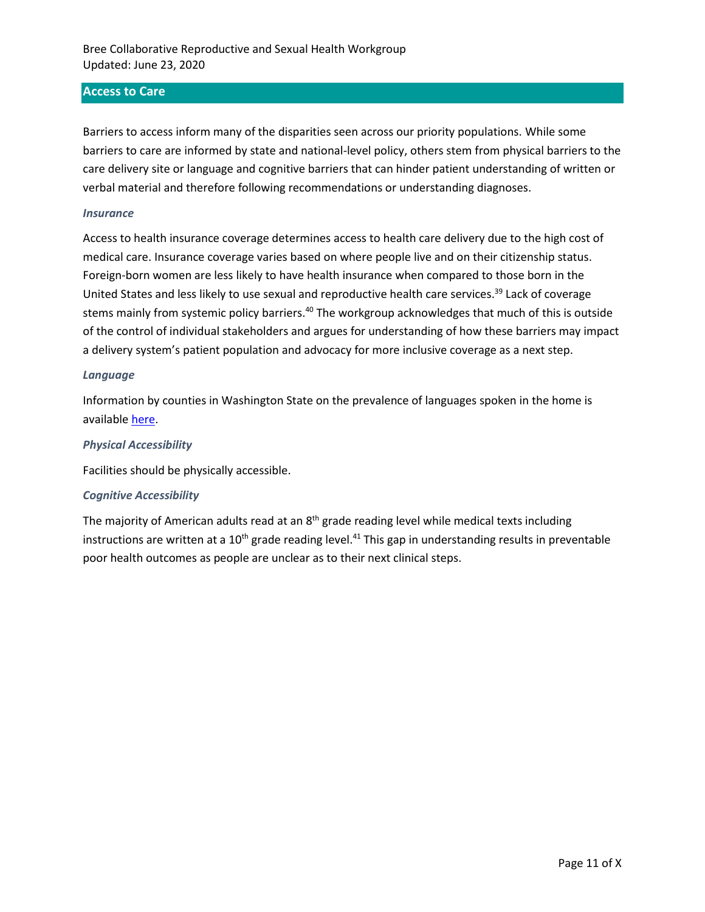### **Access to Care**

Barriers to access inform many of the disparities seen across our priority populations. While some barriers to care are informed by state and national-level policy, others stem from physical barriers to the care delivery site or language and cognitive barriers that can hinder patient understanding of written or verbal material and therefore following recommendations or understanding diagnoses.

#### *Insurance*

Access to health insurance coverage determines access to health care delivery due to the high cost of medical care. Insurance coverage varies based on where people live and on their citizenship status. Foreign-born women are less likely to have health insurance when compared to those born in the United States and less likely to use sexual and reproductive health care services.<sup>39</sup> Lack of coverage stems mainly from systemic policy barriers.<sup>40</sup> The workgroup acknowledges that much of this is outside of the control of individual stakeholders and argues for understanding of how these barriers may impact a delivery system's patient population and advocacy for more inclusive coverage as a next step.

#### *Language*

Information by counties in Washington State on the prevalence of languages spoken in the home is available [here.](https://www.ofm.wa.gov/washington-data-research/statewide-data/washington-trends/social-economic-conditions/language-spoken-home/languages-spoken-home-mapped-county)

#### *Physical Accessibility*

Facilities should be physically accessible.

#### *Cognitive Accessibility*

The majority of American adults read at an 8<sup>th</sup> grade reading level while medical texts including instructions are written at a  $10<sup>th</sup>$  grade reading level.<sup>41</sup> This gap in understanding results in preventable poor health outcomes as people are unclear as to their next clinical steps.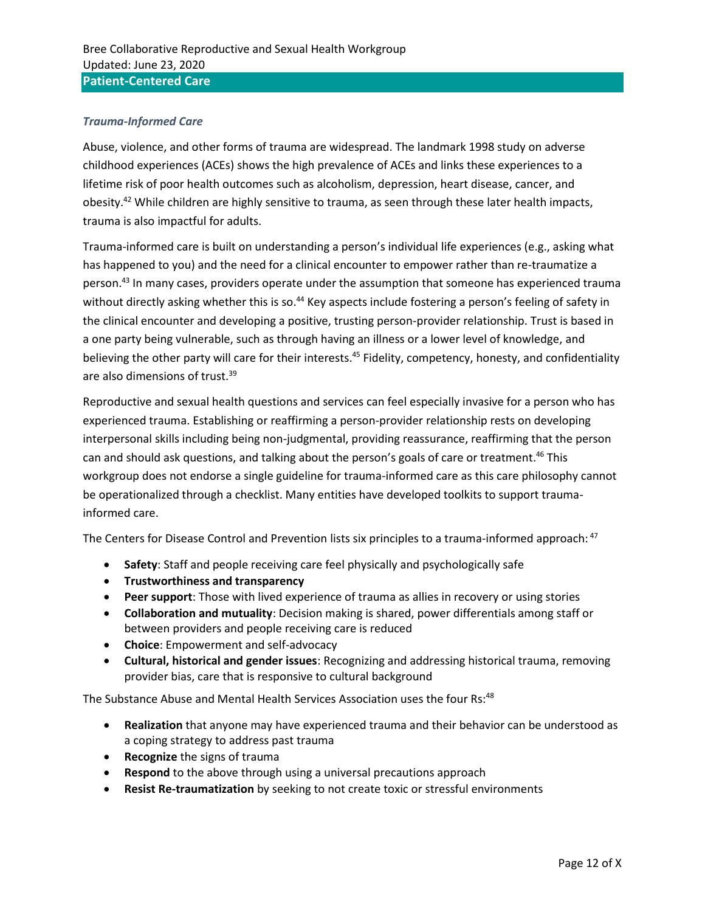### *Trauma-Informed Care*

Abuse, violence, and other forms of trauma are widespread. The landmark 1998 study on adverse childhood experiences (ACEs) shows the high prevalence of ACEs and links these experiences to a lifetime risk of poor health outcomes such as alcoholism, depression, heart disease, cancer, and obesity.<sup>42</sup> While children are highly sensitive to trauma, as seen through these later health impacts, trauma is also impactful for adults.

Trauma-informed care is built on understanding a person's individual life experiences (e.g., asking what has happened to you) and the need for a clinical encounter to empower rather than re-traumatize a person. <sup>43</sup> In many cases, providers operate under the assumption that someone has experienced trauma without directly asking whether this is so.<sup>44</sup> Key aspects include fostering a person's feeling of safety in the clinical encounter and developing a positive, trusting person-provider relationship. Trust is based in a one party being vulnerable, such as through having an illness or a lower level of knowledge, and believing the other party will care for their interests.<sup>45</sup> Fidelity, competency, honesty, and confidentiality are also dimensions of trust.<sup>39</sup>

Reproductive and sexual health questions and services can feel especially invasive for a person who has experienced trauma. Establishing or reaffirming a person-provider relationship rests on developing interpersonal skills including being non-judgmental, providing reassurance, reaffirming that the person can and should ask questions, and talking about the person's goals of care or treatment.<sup>46</sup> This workgroup does not endorse a single guideline for trauma-informed care as this care philosophy cannot be operationalized through a checklist. Many entities have developed toolkits to support traumainformed care.

The Centers for Disease Control and Prevention lists six principles to a trauma-informed approach: <sup>47</sup>

- **Safety**: Staff and people receiving care feel physically and psychologically safe
- **Trustworthiness and transparency**
- **Peer support**: Those with lived experience of trauma as allies in recovery or using stories
- **Collaboration and mutuality**: Decision making is shared, power differentials among staff or between providers and people receiving care is reduced
- **Choice**: Empowerment and self-advocacy
- **Cultural, historical and gender issues**: Recognizing and addressing historical trauma, removing provider bias, care that is responsive to cultural background

The Substance Abuse and Mental Health Services Association uses the four Rs:<sup>48</sup>

- **Realization** that anyone may have experienced trauma and their behavior can be understood as a coping strategy to address past trauma
- **Recognize** the signs of trauma
- **Respond** to the above through using a universal precautions approach
- **Resist Re-traumatization** by seeking to not create toxic or stressful environments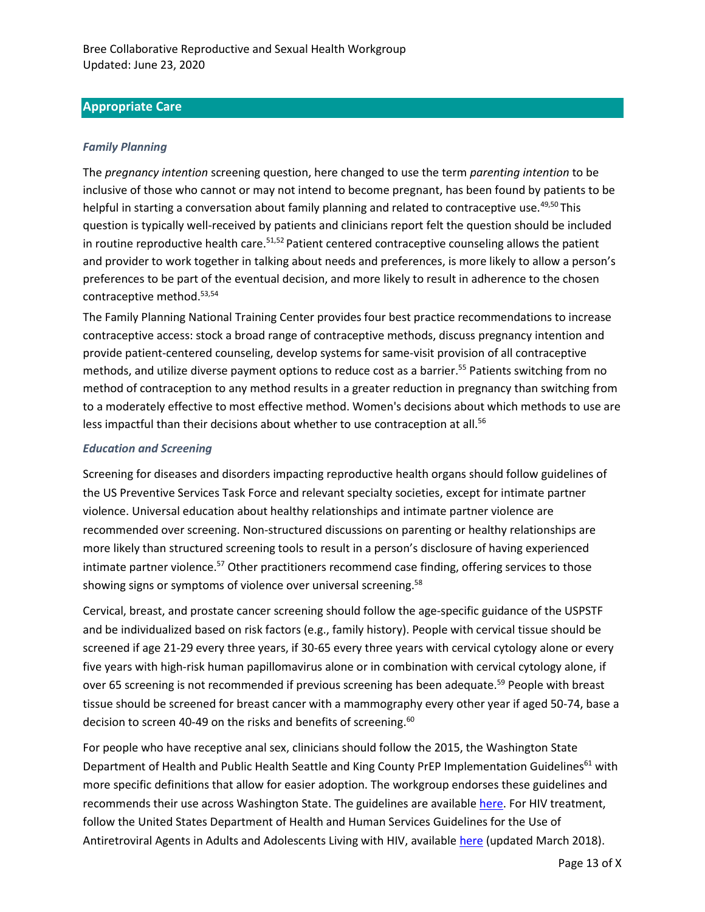## **Appropriate Care**

### *Family Planning*

The *pregnancy intention* screening question, here changed to use the term *parenting intention* to be inclusive of those who cannot or may not intend to become pregnant, has been found by patients to be helpful in starting a conversation about family planning and related to contraceptive use.<sup>49,50</sup> This question is typically well-received by patients and clinicians report felt the question should be included in routine reproductive health care.<sup>51,52</sup> Patient centered contraceptive counseling allows the patient and provider to work together in talking about needs and preferences, is more likely to allow a person's preferences to be part of the eventual decision, and more likely to result in adherence to the chosen contraceptive method.53,54

The Family Planning National Training Center provides four best practice recommendations to increase contraceptive access: stock a broad range of contraceptive methods, discuss pregnancy intention and provide patient-centered counseling, develop systems for same-visit provision of all contraceptive methods, and utilize diverse payment options to reduce cost as a barrier. <sup>55</sup> Patients switching from no method of contraception to any method results in a greater reduction in pregnancy than switching from to a moderately effective to most effective method. Women's decisions about which methods to use are less impactful than their decisions about whether to use contraception at all.<sup>56</sup>

### *Education and Screening*

Screening for diseases and disorders impacting reproductive health organs should follow guidelines of the US Preventive Services Task Force and relevant specialty societies, except for intimate partner violence. Universal education about healthy relationships and intimate partner violence are recommended over screening. Non-structured discussions on parenting or healthy relationships are more likely than structured screening tools to result in a person's disclosure of having experienced intimate partner violence.<sup>57</sup> Other practitioners recommend case finding, offering services to those showing signs or symptoms of violence over universal screening.<sup>58</sup>

Cervical, breast, and prostate cancer screening should follow the age-specific guidance of the USPSTF and be individualized based on risk factors (e.g., family history). People with cervical tissue should be screened if age 21-29 every three years, if 30-65 every three years with cervical cytology alone or every five years with high-risk human papillomavirus alone or in combination with cervical cytology alone, if over 65 screening is not recommended if previous screening has been adequate.<sup>59</sup> People with breast tissue should be screened for breast cancer with a mammography every other year if aged 50-74, base a decision to screen 40-49 on the risks and benefits of screening.<sup>60</sup>

For people who have receptive anal sex, clinicians should follow the 2015, the Washington State Department of Health and Public Health Seattle and King County PrEP Implementation Guidelines<sup>61</sup> with more specific definitions that allow for easier adoption. The workgroup endorses these guidelines and recommends their use across Washington State. The guidelines are availabl[e here.](http://www.kingcounty.gov/depts/health/communicable-diseases/hiv-std/patients/~/media/depts/health/communicable-diseases/documents/hivstd/PrEP-implementation-guidelines.ashx) For HIV treatment, follow the United States Department of Health and Human Services Guidelines for the Use of Antiretroviral Agents in Adults and Adolescents Living with HIV, available [here](https://aidsinfo.nih.gov/contentfiles/lvguidelines/adultandadolescentgl.pdf) (updated March 2018).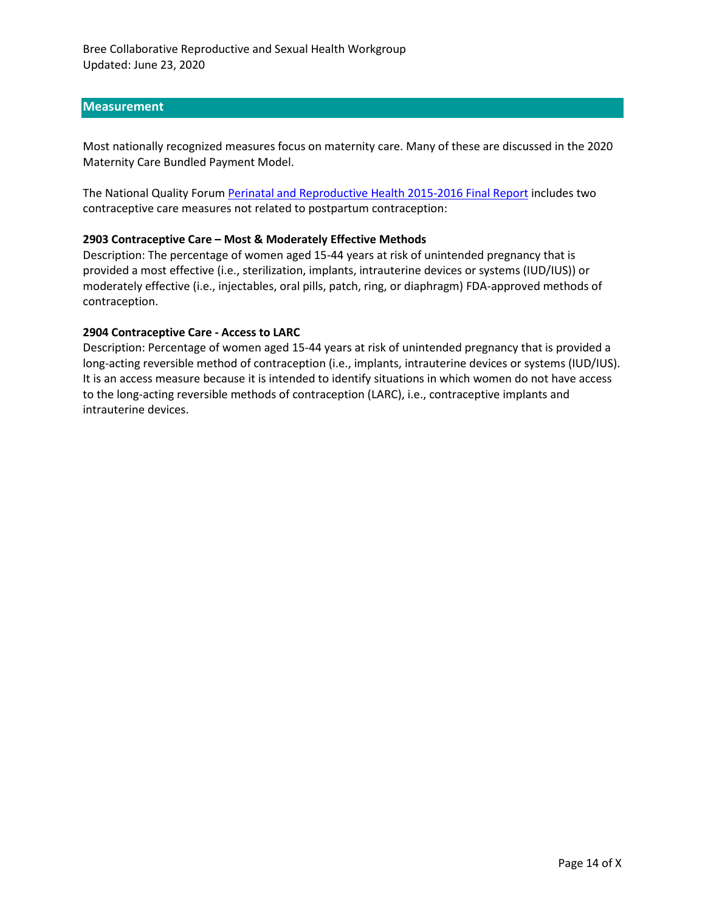### **Measurement**

Most nationally recognized measures focus on maternity care. Many of these are discussed in the 2020 Maternity Care Bundled Payment Model.

The National Quality Forum [Perinatal and Reproductive Health 2015-2016 Final Report](http://www.qualityforum.org/Publications/2016/12/Perinatal_and_Reproductive_Health_2015-2016_Final_Report.aspx) includes two contraceptive care measures not related to postpartum contraception:

#### **2903 Contraceptive Care – Most & Moderately Effective Methods**

Description: The percentage of women aged 15-44 years at risk of unintended pregnancy that is provided a most effective (i.e., sterilization, implants, intrauterine devices or systems (IUD/IUS)) or moderately effective (i.e., injectables, oral pills, patch, ring, or diaphragm) FDA-approved methods of contraception.

### **2904 Contraceptive Care - Access to LARC**

Description: Percentage of women aged 15-44 years at risk of unintended pregnancy that is provided a long-acting reversible method of contraception (i.e., implants, intrauterine devices or systems (IUD/IUS). It is an access measure because it is intended to identify situations in which women do not have access to the long-acting reversible methods of contraception (LARC), i.e., contraceptive implants and intrauterine devices.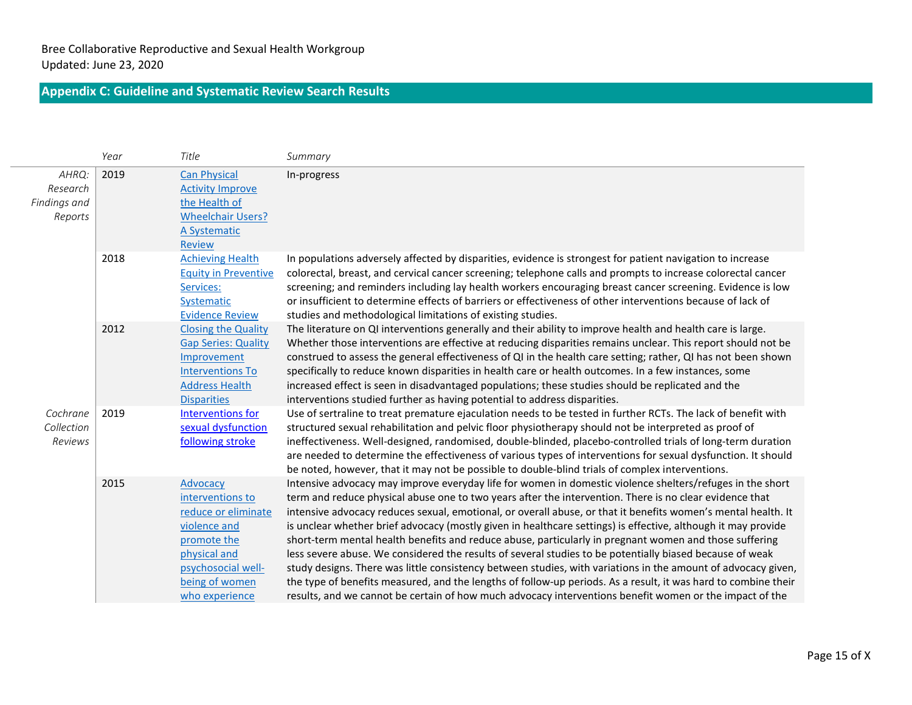# **Appendix C: Guideline and Systematic Review Search Results**

|                                              | Year | Title                                                                                                                                                        | Summary                                                                                                                                                                                                                                                                                                                                                                                                                                                                                                                                                                                                                                                                                                                                                                                                                                                                                                                                                                                                                    |
|----------------------------------------------|------|--------------------------------------------------------------------------------------------------------------------------------------------------------------|----------------------------------------------------------------------------------------------------------------------------------------------------------------------------------------------------------------------------------------------------------------------------------------------------------------------------------------------------------------------------------------------------------------------------------------------------------------------------------------------------------------------------------------------------------------------------------------------------------------------------------------------------------------------------------------------------------------------------------------------------------------------------------------------------------------------------------------------------------------------------------------------------------------------------------------------------------------------------------------------------------------------------|
| AHRQ:<br>Research<br>Findings and<br>Reports | 2019 | <b>Can Physical</b><br><b>Activity Improve</b><br>the Health of<br><b>Wheelchair Users?</b><br>A Systematic<br><b>Review</b>                                 | In-progress                                                                                                                                                                                                                                                                                                                                                                                                                                                                                                                                                                                                                                                                                                                                                                                                                                                                                                                                                                                                                |
|                                              | 2018 | <b>Achieving Health</b><br><b>Equity in Preventive</b><br>Services:<br>Systematic<br><b>Evidence Review</b>                                                  | In populations adversely affected by disparities, evidence is strongest for patient navigation to increase<br>colorectal, breast, and cervical cancer screening; telephone calls and prompts to increase colorectal cancer<br>screening; and reminders including lay health workers encouraging breast cancer screening. Evidence is low<br>or insufficient to determine effects of barriers or effectiveness of other interventions because of lack of<br>studies and methodological limitations of existing studies.                                                                                                                                                                                                                                                                                                                                                                                                                                                                                                     |
|                                              | 2012 | <b>Closing the Quality</b><br><b>Gap Series: Quality</b><br>Improvement<br><b>Interventions To</b><br><b>Address Health</b><br><b>Disparities</b>            | The literature on QI interventions generally and their ability to improve health and health care is large.<br>Whether those interventions are effective at reducing disparities remains unclear. This report should not be<br>construed to assess the general effectiveness of QI in the health care setting; rather, QI has not been shown<br>specifically to reduce known disparities in health care or health outcomes. In a few instances, some<br>increased effect is seen in disadvantaged populations; these studies should be replicated and the<br>interventions studied further as having potential to address disparities.                                                                                                                                                                                                                                                                                                                                                                                      |
| Cochrane<br>Collection<br>Reviews            | 2019 | <b>Interventions for</b><br>sexual dysfunction<br>following stroke                                                                                           | Use of sertraline to treat premature ejaculation needs to be tested in further RCTs. The lack of benefit with<br>structured sexual rehabilitation and pelvic floor physiotherapy should not be interpreted as proof of<br>ineffectiveness. Well-designed, randomised, double-blinded, placebo-controlled trials of long-term duration<br>are needed to determine the effectiveness of various types of interventions for sexual dysfunction. It should<br>be noted, however, that it may not be possible to double-blind trials of complex interventions.                                                                                                                                                                                                                                                                                                                                                                                                                                                                  |
|                                              | 2015 | Advocacy<br>interventions to<br>reduce or eliminate<br>violence and<br>promote the<br>physical and<br>psychosocial well-<br>being of women<br>who experience | Intensive advocacy may improve everyday life for women in domestic violence shelters/refuges in the short<br>term and reduce physical abuse one to two years after the intervention. There is no clear evidence that<br>intensive advocacy reduces sexual, emotional, or overall abuse, or that it benefits women's mental health. It<br>is unclear whether brief advocacy (mostly given in healthcare settings) is effective, although it may provide<br>short-term mental health benefits and reduce abuse, particularly in pregnant women and those suffering<br>less severe abuse. We considered the results of several studies to be potentially biased because of weak<br>study designs. There was little consistency between studies, with variations in the amount of advocacy given,<br>the type of benefits measured, and the lengths of follow-up periods. As a result, it was hard to combine their<br>results, and we cannot be certain of how much advocacy interventions benefit women or the impact of the |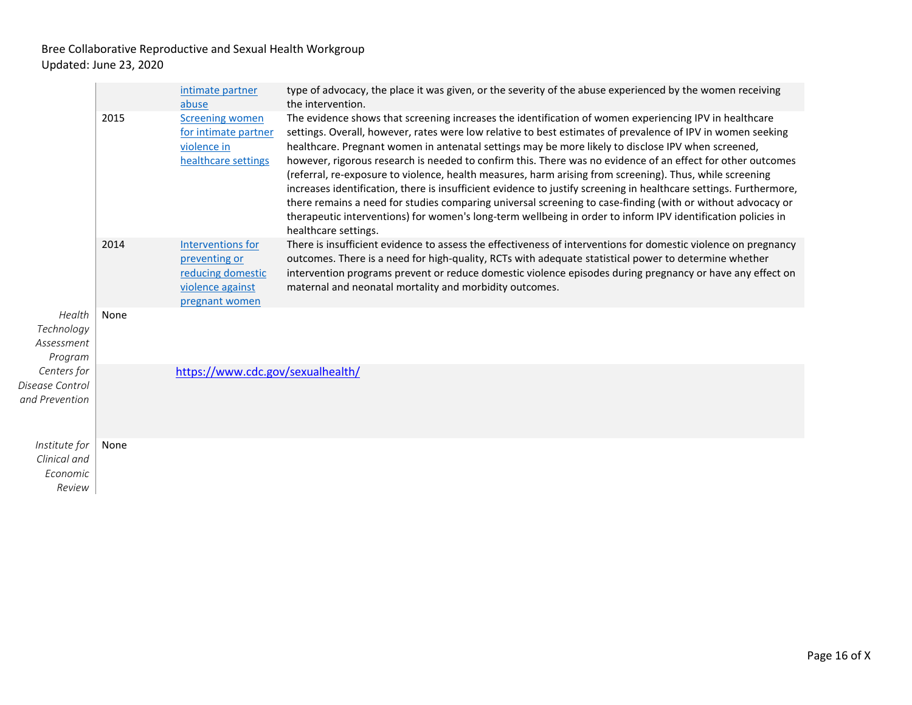| Health<br>Technology<br>Assessment<br>Program       |      | intimate partner<br>abuse                                                                     | type of advocacy, the place it was given, or the severity of the abuse experienced by the women receiving<br>the intervention.                                                                                                                                                                                                                                                                                                                                                                                                                                                                                                                                                                                                                                                                                                                                                                                                      |
|-----------------------------------------------------|------|-----------------------------------------------------------------------------------------------|-------------------------------------------------------------------------------------------------------------------------------------------------------------------------------------------------------------------------------------------------------------------------------------------------------------------------------------------------------------------------------------------------------------------------------------------------------------------------------------------------------------------------------------------------------------------------------------------------------------------------------------------------------------------------------------------------------------------------------------------------------------------------------------------------------------------------------------------------------------------------------------------------------------------------------------|
|                                                     | 2015 | <b>Screening women</b><br>for intimate partner<br>violence in<br>healthcare settings          | The evidence shows that screening increases the identification of women experiencing IPV in healthcare<br>settings. Overall, however, rates were low relative to best estimates of prevalence of IPV in women seeking<br>healthcare. Pregnant women in antenatal settings may be more likely to disclose IPV when screened,<br>however, rigorous research is needed to confirm this. There was no evidence of an effect for other outcomes<br>(referral, re-exposure to violence, health measures, harm arising from screening). Thus, while screening<br>increases identification, there is insufficient evidence to justify screening in healthcare settings. Furthermore,<br>there remains a need for studies comparing universal screening to case-finding (with or without advocacy or<br>therapeutic interventions) for women's long-term wellbeing in order to inform IPV identification policies in<br>healthcare settings. |
|                                                     | 2014 | Interventions for<br>preventing or<br>reducing domestic<br>violence against<br>pregnant women | There is insufficient evidence to assess the effectiveness of interventions for domestic violence on pregnancy<br>outcomes. There is a need for high-quality, RCTs with adequate statistical power to determine whether<br>intervention programs prevent or reduce domestic violence episodes during pregnancy or have any effect on<br>maternal and neonatal mortality and morbidity outcomes.                                                                                                                                                                                                                                                                                                                                                                                                                                                                                                                                     |
|                                                     | None |                                                                                               |                                                                                                                                                                                                                                                                                                                                                                                                                                                                                                                                                                                                                                                                                                                                                                                                                                                                                                                                     |
| Centers for<br>Disease Control<br>and Prevention    |      | https://www.cdc.gov/sexualhealth/                                                             |                                                                                                                                                                                                                                                                                                                                                                                                                                                                                                                                                                                                                                                                                                                                                                                                                                                                                                                                     |
| Institute for<br>Clinical and<br>Economic<br>Review | None |                                                                                               |                                                                                                                                                                                                                                                                                                                                                                                                                                                                                                                                                                                                                                                                                                                                                                                                                                                                                                                                     |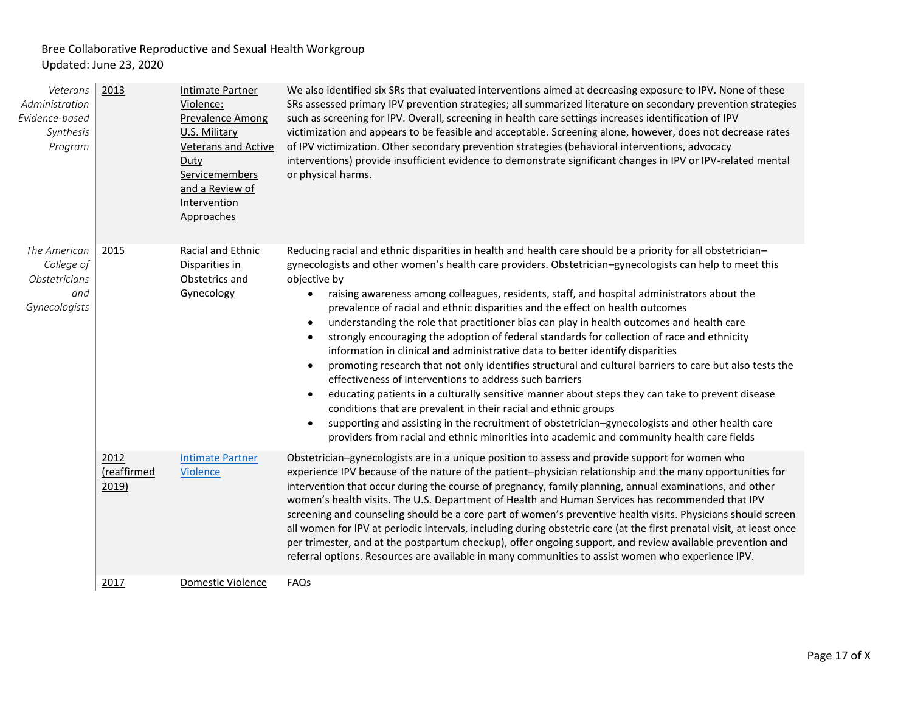| Veterans<br>Administration<br>Evidence-based<br>Synthesis<br>Program | 2013                         | <b>Intimate Partner</b><br>Violence:<br><b>Prevalence Among</b><br>U.S. Military<br><b>Veterans and Active</b><br>Duty<br>Servicemembers<br>and a Review of<br>Intervention<br>Approaches | We also identified six SRs that evaluated interventions aimed at decreasing exposure to IPV. None of these<br>SRs assessed primary IPV prevention strategies; all summarized literature on secondary prevention strategies<br>such as screening for IPV. Overall, screening in health care settings increases identification of IPV<br>victimization and appears to be feasible and acceptable. Screening alone, however, does not decrease rates<br>of IPV victimization. Other secondary prevention strategies (behavioral interventions, advocacy<br>interventions) provide insufficient evidence to demonstrate significant changes in IPV or IPV-related mental<br>or physical harms.                                                                                                                                                                                                                                                                                                                                                                                                                                                                                                                                                                                                |
|----------------------------------------------------------------------|------------------------------|-------------------------------------------------------------------------------------------------------------------------------------------------------------------------------------------|-------------------------------------------------------------------------------------------------------------------------------------------------------------------------------------------------------------------------------------------------------------------------------------------------------------------------------------------------------------------------------------------------------------------------------------------------------------------------------------------------------------------------------------------------------------------------------------------------------------------------------------------------------------------------------------------------------------------------------------------------------------------------------------------------------------------------------------------------------------------------------------------------------------------------------------------------------------------------------------------------------------------------------------------------------------------------------------------------------------------------------------------------------------------------------------------------------------------------------------------------------------------------------------------|
| The American<br>College of<br>Obstetricians<br>and<br>Gynecologists  | 2015                         | Racial and Ethnic<br>Disparities in<br>Obstetrics and<br>Gynecology                                                                                                                       | Reducing racial and ethnic disparities in health and health care should be a priority for all obstetrician-<br>gynecologists and other women's health care providers. Obstetrician-gynecologists can help to meet this<br>objective by<br>raising awareness among colleagues, residents, staff, and hospital administrators about the<br>$\bullet$<br>prevalence of racial and ethnic disparities and the effect on health outcomes<br>understanding the role that practitioner bias can play in health outcomes and health care<br>strongly encouraging the adoption of federal standards for collection of race and ethnicity<br>information in clinical and administrative data to better identify disparities<br>promoting research that not only identifies structural and cultural barriers to care but also tests the<br>$\bullet$<br>effectiveness of interventions to address such barriers<br>educating patients in a culturally sensitive manner about steps they can take to prevent disease<br>$\bullet$<br>conditions that are prevalent in their racial and ethnic groups<br>supporting and assisting in the recruitment of obstetrician-gynecologists and other health care<br>providers from racial and ethnic minorities into academic and community health care fields |
|                                                                      | 2012<br>(reaffirmed<br>2019) | <b>Intimate Partner</b><br>Violence                                                                                                                                                       | Obstetrician-gynecologists are in a unique position to assess and provide support for women who<br>experience IPV because of the nature of the patient-physician relationship and the many opportunities for<br>intervention that occur during the course of pregnancy, family planning, annual examinations, and other<br>women's health visits. The U.S. Department of Health and Human Services has recommended that IPV<br>screening and counseling should be a core part of women's preventive health visits. Physicians should screen<br>all women for IPV at periodic intervals, including during obstetric care (at the first prenatal visit, at least once<br>per trimester, and at the postpartum checkup), offer ongoing support, and review available prevention and<br>referral options. Resources are available in many communities to assist women who experience IPV.                                                                                                                                                                                                                                                                                                                                                                                                     |
|                                                                      | 2017                         | Domestic Violence                                                                                                                                                                         | FAQs                                                                                                                                                                                                                                                                                                                                                                                                                                                                                                                                                                                                                                                                                                                                                                                                                                                                                                                                                                                                                                                                                                                                                                                                                                                                                      |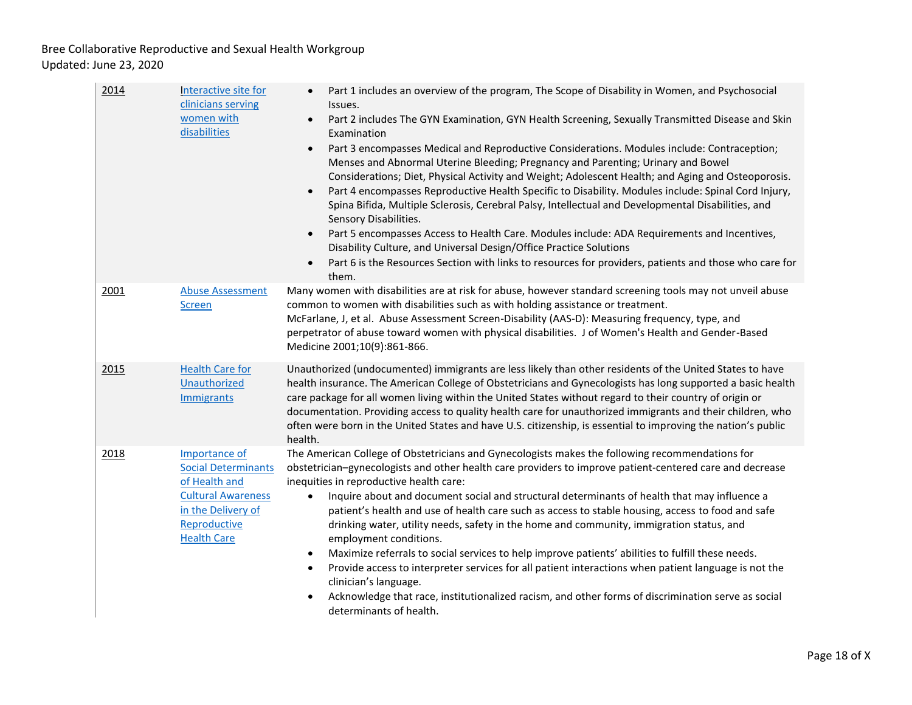| 2014 | Interactive site for<br>clinicians serving<br>women with<br>disabilities                                                                              | Part 1 includes an overview of the program, The Scope of Disability in Women, and Psychosocial<br>Issues.<br>Part 2 includes The GYN Examination, GYN Health Screening, Sexually Transmitted Disease and Skin<br>$\bullet$<br>Examination<br>Part 3 encompasses Medical and Reproductive Considerations. Modules include: Contraception;<br>$\bullet$<br>Menses and Abnormal Uterine Bleeding; Pregnancy and Parenting; Urinary and Bowel<br>Considerations; Diet, Physical Activity and Weight; Adolescent Health; and Aging and Osteoporosis.<br>Part 4 encompasses Reproductive Health Specific to Disability. Modules include: Spinal Cord Injury,<br>Spina Bifida, Multiple Sclerosis, Cerebral Palsy, Intellectual and Developmental Disabilities, and<br>Sensory Disabilities.<br>Part 5 encompasses Access to Health Care. Modules include: ADA Requirements and Incentives,<br>Disability Culture, and Universal Design/Office Practice Solutions<br>Part 6 is the Resources Section with links to resources for providers, patients and those who care for<br>$\bullet$<br>them. |
|------|-------------------------------------------------------------------------------------------------------------------------------------------------------|--------------------------------------------------------------------------------------------------------------------------------------------------------------------------------------------------------------------------------------------------------------------------------------------------------------------------------------------------------------------------------------------------------------------------------------------------------------------------------------------------------------------------------------------------------------------------------------------------------------------------------------------------------------------------------------------------------------------------------------------------------------------------------------------------------------------------------------------------------------------------------------------------------------------------------------------------------------------------------------------------------------------------------------------------------------------------------------------|
| 2001 | <b>Abuse Assessment</b><br><b>Screen</b>                                                                                                              | Many women with disabilities are at risk for abuse, however standard screening tools may not unveil abuse<br>common to women with disabilities such as with holding assistance or treatment.<br>McFarlane, J, et al. Abuse Assessment Screen-Disability (AAS-D): Measuring frequency, type, and<br>perpetrator of abuse toward women with physical disabilities. J of Women's Health and Gender-Based<br>Medicine 2001;10(9):861-866.                                                                                                                                                                                                                                                                                                                                                                                                                                                                                                                                                                                                                                                      |
| 2015 | <b>Health Care for</b><br>Unauthorized<br>Immigrants                                                                                                  | Unauthorized (undocumented) immigrants are less likely than other residents of the United States to have<br>health insurance. The American College of Obstetricians and Gynecologists has long supported a basic health<br>care package for all women living within the United States without regard to their country of origin or<br>documentation. Providing access to quality health care for unauthorized immigrants and their children, who<br>often were born in the United States and have U.S. citizenship, is essential to improving the nation's public<br>health.                                                                                                                                                                                                                                                                                                                                                                                                                                                                                                               |
| 2018 | Importance of<br><b>Social Determinants</b><br>of Health and<br><b>Cultural Awareness</b><br>in the Delivery of<br>Reproductive<br><b>Health Care</b> | The American College of Obstetricians and Gynecologists makes the following recommendations for<br>obstetrician-gynecologists and other health care providers to improve patient-centered care and decrease<br>inequities in reproductive health care:<br>Inquire about and document social and structural determinants of health that may influence a<br>$\bullet$<br>patient's health and use of health care such as access to stable housing, access to food and safe<br>drinking water, utility needs, safety in the home and community, immigration status, and<br>employment conditions.<br>Maximize referrals to social services to help improve patients' abilities to fulfill these needs.<br>$\bullet$<br>Provide access to interpreter services for all patient interactions when patient language is not the<br>$\bullet$<br>clinician's language.<br>Acknowledge that race, institutionalized racism, and other forms of discrimination serve as social<br>determinants of health.                                                                                            |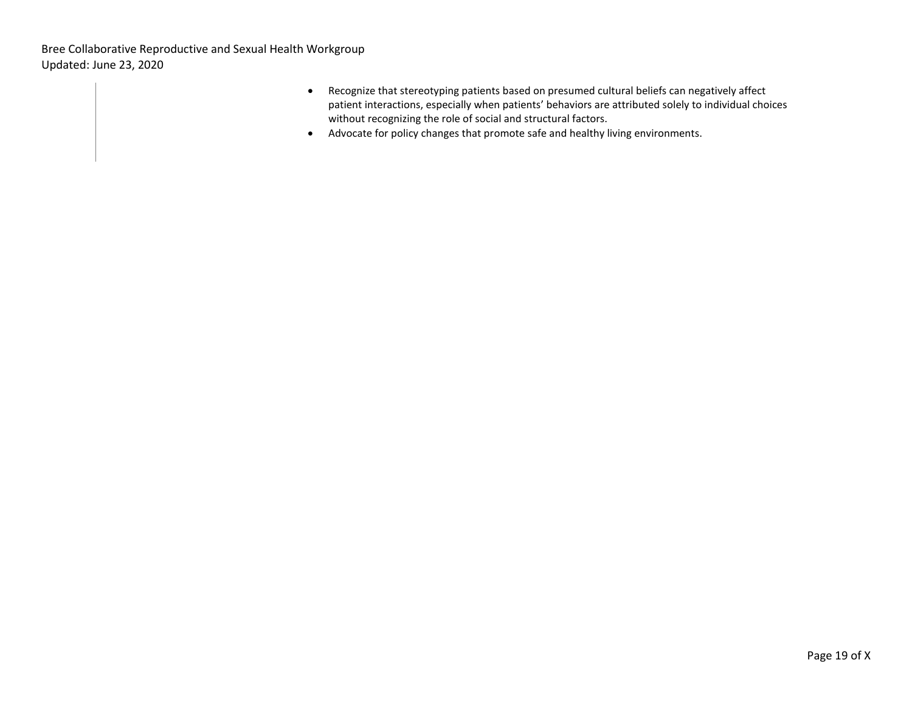- Recognize that stereotyping patients based on presumed cultural beliefs can negatively affect patient interactions, especially when patients' behaviors are attributed solely to individual choices without recognizing the role of social and structural factors.
- Advocate for policy changes that promote safe and healthy living environments.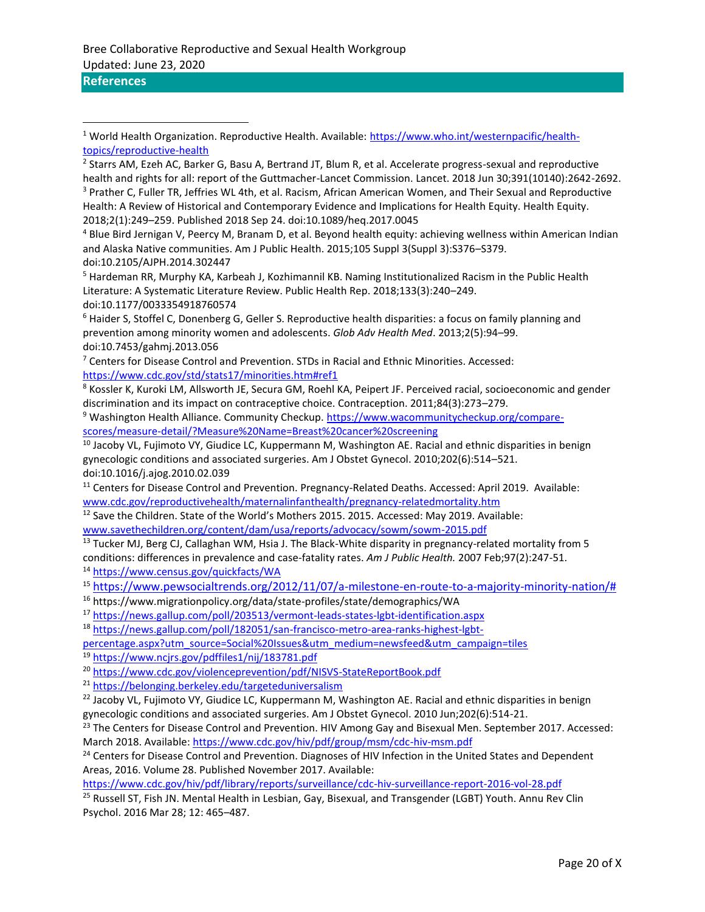## **References**

<sup>4</sup> Blue Bird Jernigan V, Peercy M, Branam D, et al. Beyond health equity: achieving wellness within American Indian and Alaska Native communities. Am J Public Health. 2015;105 Suppl 3(Suppl 3):S376–S379. doi:10.2105/AJPH.2014.302447

<sup>5</sup> Hardeman RR, Murphy KA, Karbeah J, Kozhimannil KB. Naming Institutionalized Racism in the Public Health Literature: A Systematic Literature Review. Public Health Rep. 2018;133(3):240–249. doi:10.1177/0033354918760574

<sup>6</sup> Haider S, Stoffel C, Donenberg G, Geller S. Reproductive health disparities: a focus on family planning and prevention among minority women and adolescents. *Glob Adv Health Med*. 2013;2(5):94–99. doi:10.7453/gahmj.2013.056

 $7$  Centers for Disease Control and Prevention. STDs in Racial and Ethnic Minorities. Accessed: <https://www.cdc.gov/std/stats17/minorities.htm#ref1>

<sup>8</sup> Kossler K, Kuroki LM, Allsworth JE, Secura GM, Roehl KA, Peipert JF. Perceived racial, socioeconomic and gender discrimination and its impact on contraceptive choice. Contraception. 2011;84(3):273–279.

<sup>9</sup> Washington Health Alliance. Community Checkup. [https://www.wacommunitycheckup.org/compare](https://www.wacommunitycheckup.org/compare-scores/measure-detail/?Measure%20Name=Breast%20cancer%20screening)[scores/measure-detail/?Measure%20Name=Breast%20cancer%20screening](https://www.wacommunitycheckup.org/compare-scores/measure-detail/?Measure%20Name=Breast%20cancer%20screening)

<sup>10</sup> Jacoby VL, Fujimoto VY, Giudice LC, Kuppermann M, Washington AE. Racial and ethnic disparities in benign gynecologic conditions and associated surgeries. Am J Obstet Gynecol. 2010;202(6):514–521. doi:10.1016/j.ajog.2010.02.039

<sup>11</sup> Centers for Disease Control and Prevention. Pregnancy-Related Deaths. Accessed: April 2019. Available: [www.cdc.gov/reproductivehealth/maternalinfanthealth/pregnancy-relatedmortality.htm](http://www.cdc.gov/reproductivehealth/maternalinfanthealth/pregnancy-relatedmortality.htm)

<sup>12</sup> Save the Children. State of the World's Mothers 2015. 2015. Accessed: May 2019. Available:

[www.savethechildren.org/content/dam/usa/reports/advocacy/sowm/sowm-2015.pdf](http://www.savethechildren.org/content/dam/usa/reports/advocacy/sowm/sowm-2015.pdf)

<sup>13</sup> Tucker MJ, Berg CJ, Callaghan WM, Hsia J. The Black-White disparity in pregnancy-related mortality from 5 conditions: differences in prevalence and case-fatality rates. *Am J Public Health.* 2007 Feb;97(2):247-51. <sup>14</sup> <https://www.census.gov/quickfacts/WA>

<sup>15</sup> [https://www.pewsocialtrends.org/2012/11/07/a-milestone-en-route-to-a-majority-minority-nation/#](https://www.pewsocialtrends.org/2012/11/07/a-milestone-en-route-to-a-majority-minority-nation/)

<sup>16</sup> https://www.migrationpolicy.org/data/state-profiles/state/demographics/WA

<sup>17</sup> <https://news.gallup.com/poll/203513/vermont-leads-states-lgbt-identification.aspx>

<sup>18</sup> [https://news.gallup.com/poll/182051/san-francisco-metro-area-ranks-highest-lgbt-](https://news.gallup.com/poll/182051/san-francisco-metro-area-ranks-highest-lgbt-percentage.aspx?utm_source=Social%20Issues&utm_medium=newsfeed&utm_campaign=tiles)

[percentage.aspx?utm\\_source=Social%20Issues&utm\\_medium=newsfeed&utm\\_campaign=tiles](https://news.gallup.com/poll/182051/san-francisco-metro-area-ranks-highest-lgbt-percentage.aspx?utm_source=Social%20Issues&utm_medium=newsfeed&utm_campaign=tiles)

<sup>19</sup> <https://www.ncjrs.gov/pdffiles1/nij/183781.pdf>

<sup>20</sup> <https://www.cdc.gov/violenceprevention/pdf/NISVS-StateReportBook.pdf>

<sup>21</sup> <https://belonging.berkeley.edu/targeteduniversalism>

<sup>22</sup> Jacoby VL, Fujimoto VY, Giudice LC, Kuppermann M, Washington AE. Racial and ethnic disparities in benign gynecologic conditions and associated surgeries. Am J Obstet Gynecol. 2010 Jun;202(6):514-21.

<sup>23</sup> The Centers for Disease Control and Prevention. HIV Among Gay and Bisexual Men. September 2017. Accessed: March 2018. Available[: https://www.cdc.gov/hiv/pdf/group/msm/cdc-hiv-msm.pdf](https://www.cdc.gov/hiv/pdf/group/msm/cdc-hiv-msm.pdf)

<sup>24</sup> Centers for Disease Control and Prevention. Diagnoses of HIV Infection in the United States and Dependent Areas, 2016. Volume 28. Published November 2017. Available:

<https://www.cdc.gov/hiv/pdf/library/reports/surveillance/cdc-hiv-surveillance-report-2016-vol-28.pdf>

<sup>25</sup> Russell ST, Fish JN. Mental Health in Lesbian, Gay, Bisexual, and Transgender (LGBT) Youth. Annu Rev Clin Psychol. 2016 Mar 28; 12: 465–487.

<sup>1</sup> World Health Organization. Reproductive Health. Available: [https://www.who.int/westernpacific/health](https://www.who.int/westernpacific/health-topics/reproductive-health)[topics/reproductive-health](https://www.who.int/westernpacific/health-topics/reproductive-health)

<sup>&</sup>lt;sup>2</sup> Starrs AM, Ezeh AC, Barker G, Basu A, Bertrand JT, Blum R, et al. Accelerate progress-sexual and reproductive health and rights for all: report of the Guttmacher-Lancet Commission. Lancet. 2018 Jun 30;391(10140):2642-2692. <sup>3</sup> Prather C, Fuller TR, Jeffries WL 4th, et al. Racism, African American Women, and Their Sexual and Reproductive Health: A Review of Historical and Contemporary Evidence and Implications for Health Equity. Health Equity. 2018;2(1):249–259. Published 2018 Sep 24. doi:10.1089/heq.2017.0045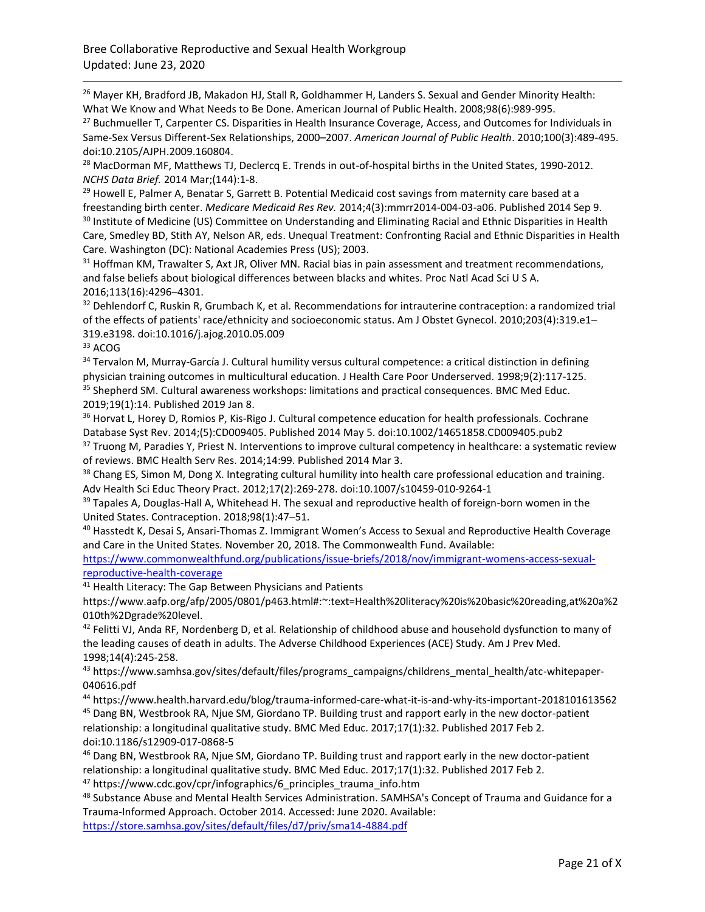<sup>26</sup> Mayer KH, Bradford JB, Makadon HJ, Stall R, Goldhammer H, Landers S. Sexual and Gender Minority Health: What We Know and What Needs to Be Done. American Journal of Public Health. 2008;98(6):989-995.

<sup>27</sup> Buchmueller T, Carpenter CS. Disparities in Health Insurance Coverage, Access, and Outcomes for Individuals in Same-Sex Versus Different-Sex Relationships, 2000–2007. *American Journal of Public Health*. 2010;100(3):489-495. doi:10.2105/AJPH.2009.160804.

<sup>28</sup> MacDorman MF, Matthews TJ, Declercq E. Trends in out-of-hospital births in the United States, 1990-2012. *NCHS Data Brief.* 2014 Mar;(144):1-8.

<sup>29</sup> Howell E, Palmer A, Benatar S, Garrett B. Potential Medicaid cost savings from maternity care based at a freestanding birth center. *Medicare Medicaid Res Rev.* 2014;4(3):mmrr2014-004-03-a06. Published 2014 Sep 9. <sup>30</sup> Institute of Medicine (US) Committee on Understanding and Eliminating Racial and Ethnic Disparities in Health Care, Smedley BD, Stith AY, Nelson AR, eds. Unequal Treatment: Confronting Racial and Ethnic Disparities in Health Care. Washington (DC): National Academies Press (US); 2003.

<sup>31</sup> Hoffman KM, Trawalter S, Axt JR, Oliver MN. Racial bias in pain assessment and treatment recommendations, and false beliefs about biological differences between blacks and whites. Proc Natl Acad Sci U S A. 2016;113(16):4296–4301.

<sup>32</sup> Dehlendorf C, Ruskin R, Grumbach K, et al. Recommendations for intrauterine contraception: a randomized trial of the effects of patients' race/ethnicity and socioeconomic status. Am J Obstet Gynecol. 2010;203(4):319.e1– 319.e3198. doi:10.1016/j.ajog.2010.05.009

<sup>33</sup> ACOG

34 Tervalon M, Murray-García J. Cultural humility versus cultural competence: a critical distinction in defining physician training outcomes in multicultural education. J Health Care Poor Underserved. 1998;9(2):117‐125. <sup>35</sup> Shepherd SM. Cultural awareness workshops: limitations and practical consequences. BMC Med Educ. 2019;19(1):14. Published 2019 Jan 8.

<sup>36</sup> Horvat L, Horey D, Romios P, Kis-Rigo J. Cultural competence education for health professionals. Cochrane Database Syst Rev. 2014;(5):CD009405. Published 2014 May 5. doi:10.1002/14651858.CD009405.pub2

37 Truong M, Paradies Y, Priest N. Interventions to improve cultural competency in healthcare: a systematic review of reviews. BMC Health Serv Res. 2014;14:99. Published 2014 Mar 3.

<sup>38</sup> Chang ES, Simon M, Dong X. Integrating cultural humility into health care professional education and training. Adv Health Sci Educ Theory Pract. 2012;17(2):269‐278. doi:10.1007/s10459-010-9264-1

<sup>39</sup> Tapales A, Douglas-Hall A, Whitehead H. The sexual and reproductive health of foreign-born women in the United States. Contraception. 2018;98(1):47–51.

<sup>40</sup> Hasstedt K, Desai S, Ansari-Thomas Z. Immigrant Women's Access to Sexual and Reproductive Health Coverage and Care in the United States. November 20, 2018. The Commonwealth Fund. Available:

[https://www.commonwealthfund.org/publications/issue-briefs/2018/nov/immigrant-womens-access-sexual](https://www.commonwealthfund.org/publications/issue-briefs/2018/nov/immigrant-womens-access-sexual-reproductive-health-coverage)[reproductive-health-coverage](https://www.commonwealthfund.org/publications/issue-briefs/2018/nov/immigrant-womens-access-sexual-reproductive-health-coverage)

<sup>41</sup> Health Literacy: The Gap Between Physicians and Patients

https://www.aafp.org/afp/2005/0801/p463.html#:~:text=Health%20literacy%20is%20basic%20reading,at%20a%2 010th%2Dgrade%20level.

<sup>42</sup> Felitti VJ, Anda RF, Nordenberg D, et al. Relationship of childhood abuse and household dysfunction to many of the leading causes of death in adults. The Adverse Childhood Experiences (ACE) Study. Am J Prev Med. 1998;14(4):245‐258.

<sup>43</sup> https://www.samhsa.gov/sites/default/files/programs\_campaigns/childrens\_mental\_health/atc-whitepaper-040616.pdf

<sup>44</sup> https://www.health.harvard.edu/blog/trauma-informed-care-what-it-is-and-why-its-important-2018101613562 <sup>45</sup> Dang BN, Westbrook RA, Njue SM, Giordano TP. Building trust and rapport early in the new doctor-patient relationship: a longitudinal qualitative study. BMC Med Educ. 2017;17(1):32. Published 2017 Feb 2. doi:10.1186/s12909-017-0868-5

<sup>46</sup> Dang BN, Westbrook RA, Njue SM, Giordano TP. Building trust and rapport early in the new doctor-patient relationship: a longitudinal qualitative study. BMC Med Educ. 2017;17(1):32. Published 2017 Feb 2. <sup>47</sup> https://www.cdc.gov/cpr/infographics/6\_principles\_trauma\_info.htm

48 Substance Abuse and Mental Health Services Administration. SAMHSA's Concept of Trauma and Guidance for a Trauma-Informed Approach. October 2014. Accessed: June 2020. Available:

<https://store.samhsa.gov/sites/default/files/d7/priv/sma14-4884.pdf>